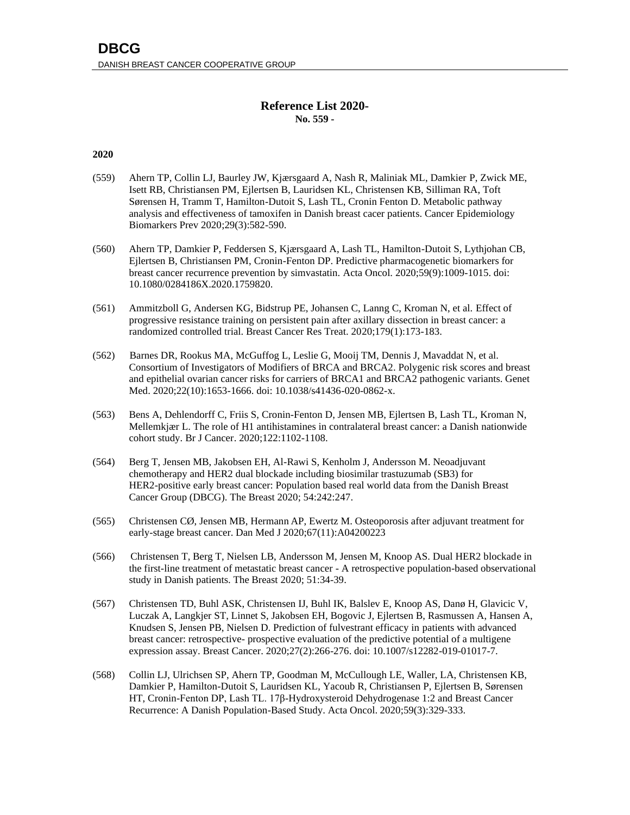## **Reference List 2020- No. 559 -**

## **2020**

- (559) Ahern TP, Collin LJ, Baurley JW, Kjærsgaard A, Nash R, Maliniak ML, Damkier P, Zwick ME, Isett RB, Christiansen PM, Ejlertsen B, Lauridsen KL, Christensen KB, Silliman RA, Toft Sørensen H, Tramm T, Hamilton-Dutoit S, Lash TL, Cronin Fenton D. Metabolic pathway analysis and effectiveness of tamoxifen in Danish breast cacer patients. Cancer Epidemiology Biomarkers Prev 2020;29(3):582-590.
- (560) Ahern TP, Damkier P, Feddersen S, Kjærsgaard A, Lash TL, Hamilton-Dutoit S, Lythjohan CB, Ejlertsen B, Christiansen PM, Cronin-Fenton DP. Predictive pharmacogenetic biomarkers for breast cancer recurrence prevention by simvastatin. Acta Oncol. 2020;59(9):1009-1015. doi: 10.1080/0284186X.2020.1759820.
- (561) Ammitzboll G, Andersen KG, Bidstrup PE, Johansen C, Lanng C, Kroman N, et al. Effect of progressive resistance training on persistent pain after axillary dissection in breast cancer: a randomized controlled trial. Breast Cancer Res Treat. 2020;179(1):173-183.
- (562) Barnes DR, Rookus MA, McGuffog L, Leslie G, Mooij TM, Dennis J, Mavaddat N, et al. Consortium of Investigators of Modifiers of BRCA and BRCA2. Polygenic risk scores and breast and epithelial ovarian cancer risks for carriers of BRCA1 and BRCA2 pathogenic variants. Genet Med. 2020;22(10):1653-1666. doi: 10.1038/s41436-020-0862-x.
- (563) Bens A, Dehlendorff C, Friis S, [Cronin-Fenton](https://www.nature.com/articles/s41416-020-0747-4#auth-4) D, [Jensen](https://www.nature.com/articles/s41416-020-0747-4#auth-5) MB, [Ejlertsen](https://www.nature.com/articles/s41416-020-0747-4#auth-6) B[, Lash](https://www.nature.com/articles/s41416-020-0747-4#auth-7) TL, [Kroman](https://www.nature.com/articles/s41416-020-0747-4#auth-8) N, [Mellemkjær](https://www.nature.com/articles/s41416-020-0747-4#auth-9) L. The role of H1 antihistamines in contralateral breast cancer: a Danish nationwide cohort study. Br J Cancer. 2020;122:1102-1108.
- (564) Berg T, Jensen MB, Jakobsen EH, Al-Rawi S, Kenholm J, Andersson M. Neoadjuvant chemotherapy and HER2 dual blockade including biosimilar trastuzumab (SB3) for HER2-positive early breast cancer: Population based real world data from the Danish Breast Cancer Group (DBCG). The Breast 2020; 54:242:247.
- (565) Christensen CØ, Jensen MB, Hermann AP, Ewertz M. Osteoporosis after adjuvant treatment for early-stage breast cancer. Dan Med J 2020;67(11):A04200223
- (566) Christensen T, Berg T, Nielsen LB, Andersson M, Jensen M, Knoop AS. Dual HER2 blockade in the first-line treatment of metastatic breast cancer - A retrospective population-based observational study in Danish patients. The Breast 2020; 51:34-39.
- (567) Christensen TD, Buhl ASK, Christensen IJ, Buhl IK, Balslev E, Knoop AS, Danø H, Glavicic V, Luczak A, Langkjer ST, Linnet S, Jakobsen EH, Bogovic J, Ejlertsen B, Rasmussen A, Hansen A, Knudsen S, Jensen PB, Nielsen D. Prediction of fulvestrant efficacy in patients with advanced breast cancer: retrospective- prospective evaluation of the predictive potential of a multigene expression assay. Breast Cancer. 2020;27(2):266-276. doi: 10.1007/s12282-019-01017-7.
- (568) Collin LJ, Ulrichsen SP, Ahern TP, Goodman M, McCullough LE, Waller, LA, Christensen KB, Damkier P, Hamilton-Dutoit S, Lauridsen KL, Yacoub R, Christiansen P, Ejlertsen B, Sørensen HT, Cronin-Fenton DP, Lash TL. 17β-Hydroxysteroid Dehydrogenase 1:2 and Breast Cancer Recurrence: A Danish Population-Based Study. Acta Oncol. 2020;59(3):329-333.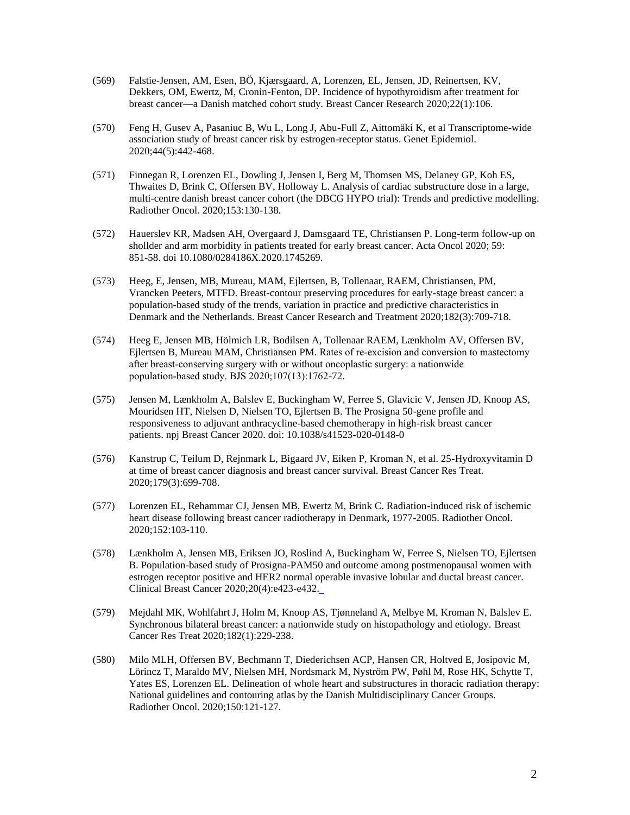- (569) Falstie-Jensen, AM, Esen, BÖ, Kjærsgaard, A, Lorenzen, EL, Jensen, JD, Reinertsen, KV, Dekkers, OM, Ewertz, M, Cronin-Fenton, DP. Incidence of hypothyroidism after treatment for breast cancer—a Danish matched cohort study. Breast Cancer Research 2020;22(1):106.
- (570) Feng H, Gusev A, Pasaniuc B, Wu L, Long J, Abu-Full Z, Aittomäki K, et al Transcriptome-wide association study of breast cancer risk by estrogen-receptor status. Genet Epidemiol. 2020;44(5):442-468.
- (571) Finnegan R, Lorenzen EL, Dowling J, Jensen I, Berg M, Thomsen MS, Delaney GP, Koh ES, Thwaites D, Brink C, Offersen BV, Holloway L. Analysis of cardiac substructure dose in a large, multi-centre danish breast cancer cohort (the DBCG HYPO trial): Trends and predictive modelling. Radiother Oncol. 2020;153:130-138.
- (572) Hauerslev KR, Madsen AH, Overgaard J, Damsgaard TE, Christiansen P. Long-term follow-up on shollder and arm morbidity in patients treated for early breast cancer. Acta Oncol 2020; 59: 851-58. doi 10.1080/0284186X.2020.1745269.
- (573) Heeg, E, Jensen, MB, Mureau, MAM, Ejlertsen, B, Tollenaar, RAEM, Christiansen, PM, Vrancken Peeters, MTFD. Breast-contour preserving procedures for early-stage breast cancer: a population-based study of the trends, variation in practice and predictive characteristics in Denmark and the Netherlands. Breast Cancer Research and Treatment 2020;182(3):709-718.
- (574) Heeg E, Jensen MB, [Hölmich](https://bjssjournals.onlinelibrary.wiley.com/action/doSearch?ContribAuthorStored=H%C3%B6lmich%2C+L+R) LR, [Bodilsen](https://bjssjournals.onlinelibrary.wiley.com/action/doSearch?ContribAuthorStored=Bodilsen%2C+A) A, [Tollenaar](https://bjssjournals.onlinelibrary.wiley.com/action/doSearch?ContribAuthorStored=Tollenaar%2C+R+A+E+M) RAEM, [Lænkholm](https://bjssjournals.onlinelibrary.wiley.com/action/doSearch?ContribAuthorStored=L%C3%A6nkholm%2C+A+V) AV, Offersen BV, Ejlertsen B, Mureau MAM, Christiansen PM. Rates of re‐excision and conversion to mastectomy after breast-conserving surgery with or without oncoplastic surgery: a nationwide population‐based study. BJS 2020;107(13):1762-72.
- (575) Jensen M, Lænkholm A, Balslev E, Buckingham W, Ferree S, Glavicic V, Jensen JD, Knoop AS, Mouridsen HT, Nielsen D, Nielsen TO, Ejlertsen B. The Prosigna 50-gene profile and responsiveness to adjuvant anthracycline-based chemotherapy in high-risk breast cancer patients. npj Breast Cancer 2020. doi: [10.1038/s41523-020-0148-0](https://dx.doi.org/10.1038%2Fs41523-020-0148-0)
- (576) Kanstrup C, Teilum D, Rejnmark L, Bigaard JV, Eiken P, Kroman N, et al. 25-Hydroxyvitamin D at time of breast cancer diagnosis and breast cancer survival. Breast Cancer Res Treat. 2020;179(3):699-708.
- (577) Lorenzen EL, Rehammar CJ, Jensen MB, Ewertz M, Brink C. Radiation-induced risk of ischemic heart disease following breast cancer radiotherapy in Denmark, 1977-2005. Radiother Oncol. 2020;152:103-110.
- (578) Lænkholm A, Jensen MB, Eriksen JO, Roslind A, Buckingham W, Ferree S, Nielsen TO, Ejlertsen B. Population-based study of Prosigna-PAM50 and outcome among postmenopausal women with estrogen receptor positive and HER2 normal operable invasive lobular and ductal breast cancer. Clinical Breast Cancer 2020;20(4):e423-e432.
- (579) Mejdahl MK, Wohlfahrt J, Holm M, Knoop AS, Tjønneland A, Melbye M, Kroman N, Balslev E. Synchronous bilateral breast cancer: a nationwide study on histopathology and etiology. Breast Cancer Res Treat 2020;182(1):229-238.
- (580) Milo MLH, Offersen BV, Bechmann T, Diederichsen ACP, Hansen CR, Holtved E, Josipovic M, Lörincz T, Maraldo MV, Nielsen MH, Nordsmark M, Nyström PW, Pøhl M, Rose HK, Schytte T, Yates ES, Lorenzen EL. Delineation of whole heart and substructures in thoracic radiation therapy: National guidelines and contouring atlas by the Danish Multidisciplinary Cancer Groups. Radiother Oncol. 2020;150:121-127.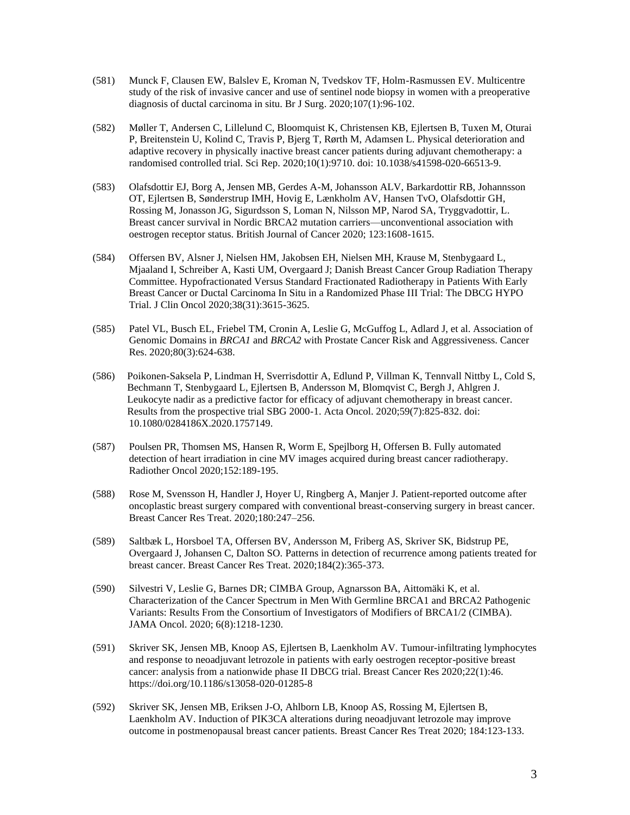- (581) Munck F, Clausen EW, Balslev E, Kroman N, Tvedskov TF, Holm-Rasmussen EV. Multicentre study of the risk of invasive cancer and use of sentinel node biopsy in women with a preoperative diagnosis of ductal carcinoma in situ. Br J Surg. 2020;107(1):96-102.
- (582) Møller T, Andersen C, Lillelund C, Bloomquist K, Christensen KB, Ejlertsen B, Tuxen M, Oturai P, Breitenstein U, Kolind C, Travis P, Bjerg T, Rørth M, Adamsen L. Physical deterioration and adaptive recovery in physically inactive breast cancer patients during adjuvant chemotherapy: a randomised controlled trial. Sci Rep. 2020;10(1):9710. doi: 10.1038/s41598-020-66513-9.
- (583) Olafsdottir EJ, Borg A, Jensen MB, Gerdes A-M, Johansson ALV, Barkardottir RB, [Johannsson](javascript:;) OT, Ejlertsen B, [Sønderstrup](javascript:;) IMH, [Hovig](javascript:;) E, [Lænkholm](javascript:;) AV[, Hansen](javascript:;) TvO[, Olafsdottir](javascript:;) GH, [Rossing](javascript:;) [M,](https://www.nature.com/articles/s41416-020-01056-4.#Aff13) [Jonasson](javascript:;) JG, [Sigurdsson](javascript:;) S, [Loman](javascript:;) N[, Nilsson](javascript:;) MP, [Narod](javascript:;) SA, Tryggvadottir, L. Breast cancer survival in Nordic BRCA2 mutation carriers—unconventional association with oestrogen receptor status. British Journal of Cancer 2020; 123:1608-1615.
- (584) Offersen BV, Alsner J, Nielsen HM, Jakobsen EH, Nielsen MH, Krause M, Stenbygaard L, Mjaaland I, Schreiber A, Kasti UM, Overgaard J; Danish Breast Cancer Group Radiation Therapy Committee. Hypofractionated Versus Standard Fractionated Radiotherapy in Patients With Early Breast Cancer or Ductal Carcinoma In Situ in a Randomized Phase III Trial: The DBCG HYPO Trial. J Clin Oncol 2020;38(31):3615-3625.
- (585) Patel VL, Busch EL, Friebel TM, Cronin A, Leslie G, McGuffog L, Adlard J, et al. Association of Genomic Domains in *BRCA1* and *BRCA2* with Prostate Cancer Risk and Aggressiveness. Cancer Res. 2020;80(3):624-638.
- (586) Poikonen-Saksela P, Lindman H, Sverrisdottir A, Edlund P, Villman K, Tennvall Nittby L, Cold S, Bechmann T, Stenbygaard L, Ejlertsen B, Andersson M, Blomqvist C, Bergh J, Ahlgren J. Leukocyte nadir as a predictive factor for efficacy of adjuvant chemotherapy in breast cancer. Results from the prospective trial SBG 2000-1. Acta Oncol. 2020;59(7):825-832. doi: 10.1080/0284186X.2020.1757149.
- (587) Poulsen PR, Thomsen MS, Hansen R, Worm E, Spejlborg H, Offersen B. Fully automated detection of heart irradiation in cine MV images acquired during breast cancer radiotherapy. Radiother Oncol 2020;152:189-195.
- (588) Rose M, [Svensson](https://www.clinicalkey.com/#!/search/Svensson%20Henry/%7B%22type%22:%22author%22%7D) H, [Handler](https://www.clinicalkey.com/#!/search/Handler%20J%C3%BCrgen/%7B%22type%22:%22author%22%7D) J, Hoyer U, Ringberg A, Manjer J. Patient-reported outcome after oncoplastic breast surgery compared with conventional breast-conserving surgery in breast cancer. [Breast Cancer Res Treat.](https://link.springer.com/journal/10549) 2020;180:247–256.
- (589) Saltbæk L, Horsboel TA, Offersen BV, Andersson M, Friberg AS, Skriver SK, Bidstrup PE, Overgaard J, Johansen C, Dalton SO. Patterns in detection of recurrence among patients treated for breast cancer. Breast Cancer Res Treat. 2020;184(2):365-373.
- (590) Silvestri V, Leslie G, Barnes DR; CIMBA Group, Agnarsson BA, Aittomäki K, et al. Characterization of the Cancer Spectrum in Men With Germline BRCA1 and BRCA2 Pathogenic Variants: Results From the Consortium of Investigators of Modifiers of BRCA1/2 (CIMBA). JAMA Oncol. 2020; 6(8):1218-1230.
- (591) Skriver SK, Jensen MB, Knoop AS, Ejlertsen B, Laenkholm AV. Tumour-infiltrating lymphocytes and response to neoadjuvant letrozole in patients with early oestrogen receptor-positive breast cancer: analysis from a nationwide phase II DBCG trial. Breast Cancer Res 2020;22(1):46. <https://doi.org/10.1186/s13058-020-01285-8>
- (592) Skriver SK, Jensen MB, Eriksen J-O, Ahlborn LB, Knoop AS, Rossing M, Ejlertsen B, Laenkholm AV. Induction of PIK3CA alterations during neoadjuvant letrozole may improve outcome in postmenopausal breast cancer patients. [Breast Cancer Res Treat](file:///C:/Users/bejl0001/AppData/Local/Microsoft/Windows/INetCache/Content.Outlook/YJL57IAV/Breast%20Cancer%20Res%20Treat) 2020; 184:123-133.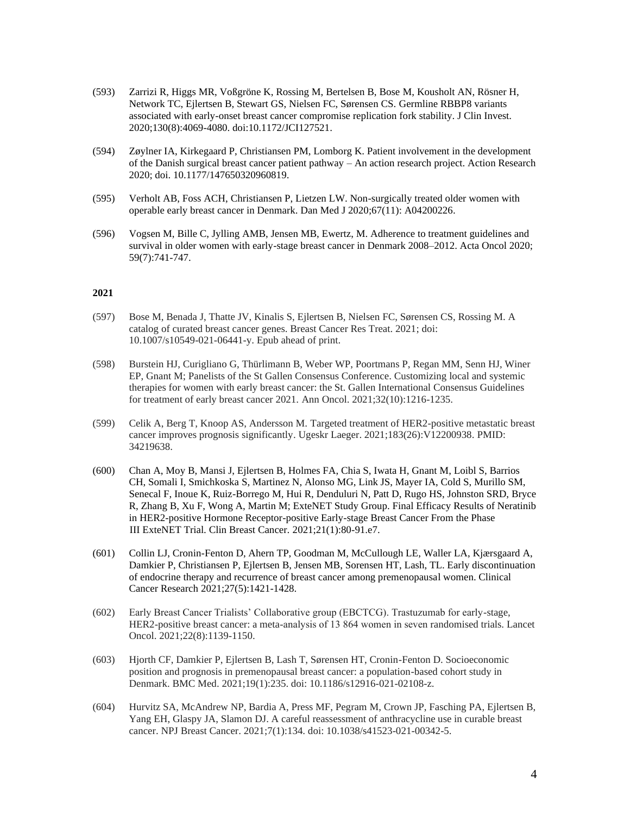- (593) Zarrizi R, Higgs MR, Voßgröne K, Rossing M, Bertelsen B, Bose M, Kousholt AN, Rösner H, Network TC, Ejlertsen B, Stewart GS, Nielsen FC, Sørensen CS. Germline RBBP8 variants associated with early-onset breast cancer compromise replication fork stability. J Clin Invest. 2020;130(8):4069-4080. doi:10.1172/JCI127521.
- (594) Zøylner IA, Kirkegaard P, Christiansen PM, Lomborg K. Patient involvement in the development of the Danish surgical breast cancer patient pathway – An action research project. Action Research 2020; doi. 10.1177/147650320960819.
- (595) Verholt AB, Foss ACH, Christiansen P, Lietzen LW. Non-surgically treated older women with operable early breast cancer in Denmark. Dan Med J 2020;67(11): A04200226.
- (596) Vogsen M, Bille C, Jylling AMB, Jensen MB, Ewertz, M. Adherence to treatment guidelines and survival in older women with early-stage breast cancer in Denmark 2008–2012. Acta Oncol 2020; 59(7):741-747.

## **2021**

- (597) Bose M, Benada J, Thatte JV, Kinalis S, Ejlertsen B, Nielsen FC, Sørensen CS, Rossing M. A catalog of curated breast cancer genes. Breast Cancer Res Treat. 2021; doi: 10.1007/s10549-021-06441-y. Epub ahead of print.
- (598) Burstein HJ, Curigliano G, Thürlimann B, Weber WP, Poortmans P, Regan MM, Senn HJ, Winer EP, Gnant M; Panelists of the St Gallen Consensus Conference. Customizing local and systemic therapies for women with early breast cancer: the St. Gallen International Consensus Guidelines for treatment of early breast cancer 2021. Ann Oncol. 2021;32(10):1216-1235.
- (599) Celik A, Berg T, Knoop AS, Andersson M. Targeted treatment of HER2-positive metastatic breast cancer improves prognosis significantly. Ugeskr Laeger. 2021;183(26):V12200938. PMID: 34219638.
- (600) Chan A, Moy B, Mansi J, Ejlertsen B, Holmes FA, Chia S, Iwata H, Gnant M, Loibl S, Barrios CH, Somali I, Smichkoska S, Martinez N, Alonso MG, Link JS, Mayer IA, Cold S, Murillo SM, Senecal F, Inoue K, Ruiz-Borrego M, Hui R, Denduluri N, Patt D, Rugo HS, Johnston SRD, Bryce R, Zhang B, Xu F, Wong A, Martin M; ExteNET Study Group. Final Efficacy Results of Neratinib in HER2-positive Hormone Receptor-positive Early-stage Breast Cancer From the Phase III ExteNET Trial. Clin Breast Cancer. 2021;21(1):80-91.e7.
- (601) Collin LJ, Cronin-Fenton D, Ahern TP, Goodman M, McCullough LE, Waller LA, Kjærsgaard A, Damkier P, Christiansen P, Ejlertsen B, Jensen MB, Sorensen HT, Lash, TL. Early discontinuation of endocrine therapy and recurrence of breast cancer among premenopausal women. Clinical Cancer Research 2021;27(5):1421-1428.
- (602) Early Breast Cancer Trialists' Collaborative group (EBCTCG). Trastuzumab for early-stage, HER2-positive breast cancer: a meta-analysis of 13 864 women in seven randomised trials. Lancet Oncol. 2021;22(8):1139-1150.
- (603) Hjorth CF, Damkier P, Ejlertsen B, Lash T, Sørensen HT, Cronin-Fenton D. Socioeconomic position and prognosis in premenopausal breast cancer: a population-based cohort study in Denmark. BMC Med. 2021;19(1):235. doi: 10.1186/s12916-021-02108-z.
- (604) Hurvitz SA, McAndrew NP, Bardia A, Press MF, Pegram M, Crown JP, Fasching PA, Ejlertsen B, Yang EH, Glaspy JA, Slamon DJ. A careful reassessment of anthracycline use in curable breast cancer. NPJ Breast Cancer. 2021;7(1):134. doi: 10.1038/s41523-021-00342-5.